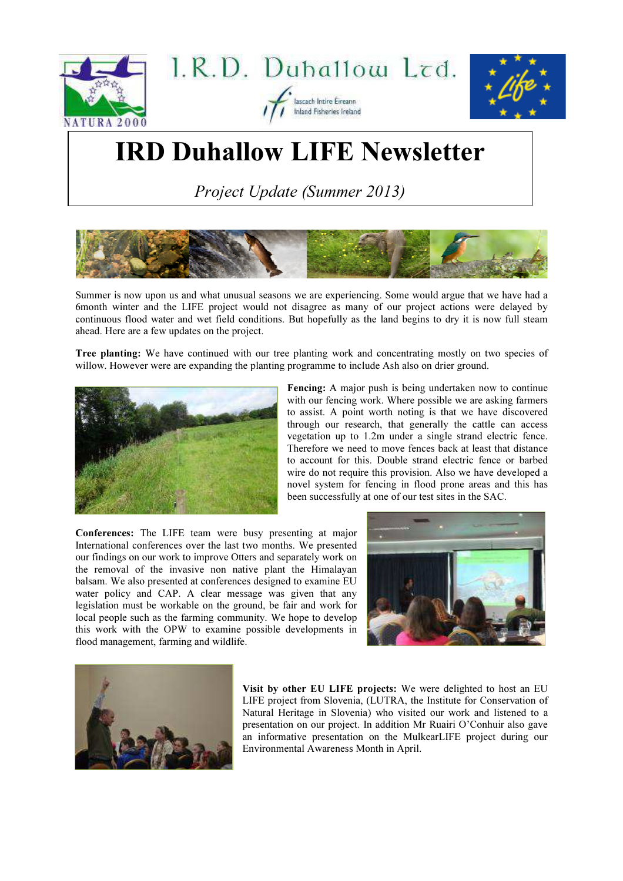





## IRD Duhallow LIFE Newsletter

Project Update (Summer 2013)



Summer is now upon us and what unusual seasons we are experiencing. Some would argue that we have had a 6month winter and the LIFE project would not disagree as many of our project actions were delayed by continuous flood water and wet field conditions. But hopefully as the land begins to dry it is now full steam ahead. Here are a few updates on the project.

Tree planting: We have continued with our tree planting work and concentrating mostly on two species of willow. However were are expanding the planting programme to include Ash also on drier ground.



Fencing: A major push is being undertaken now to continue with our fencing work. Where possible we are asking farmers to assist. A point worth noting is that we have discovered through our research, that generally the cattle can access vegetation up to 1.2m under a single strand electric fence. Therefore we need to move fences back at least that distance to account for this. Double strand electric fence or barbed wire do not require this provision. Also we have developed a novel system for fencing in flood prone areas and this has been successfully at one of our test sites in the SAC.

Conferences: The LIFE team were busy presenting at major International conferences over the last two months. We presented our findings on our work to improve Otters and separately work on the removal of the invasive non native plant the Himalayan balsam. We also presented at conferences designed to examine EU water policy and CAP. A clear message was given that any legislation must be workable on the ground, be fair and work for local people such as the farming community. We hope to develop this work with the OPW to examine possible developments in flood management, farming and wildlife.





Visit by other EU LIFE projects: We were delighted to host an EU LIFE project from Slovenia, (LUTRA, the Institute for Conservation of Natural Heritage in Slovenia) who visited our work and listened to a presentation on our project. In addition Mr Ruairi O'Conhuir also gave an informative presentation on the MulkearLIFE project during our Environmental Awareness Month in April.